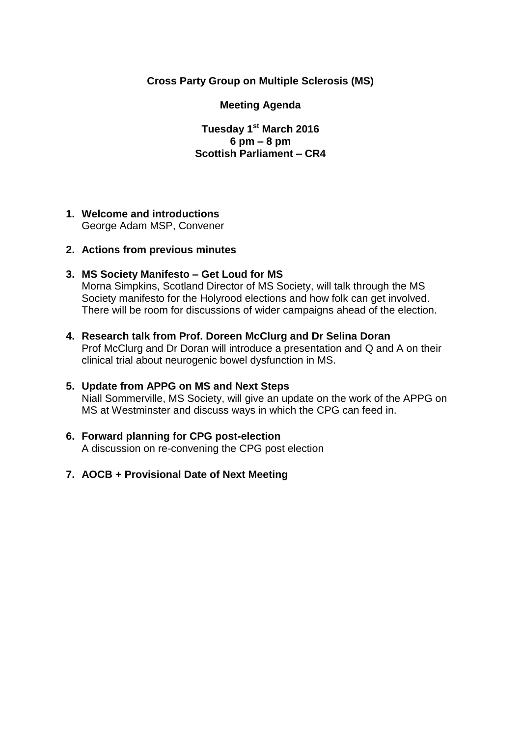## **Cross Party Group on Multiple Sclerosis (MS)**

#### **Meeting Agenda**

**Tuesday 1 st March 2016 6 pm – 8 pm Scottish Parliament – CR4**

# **1. Welcome and introductions**

George Adam MSP, Convener

## **2. Actions from previous minutes**

## **3. MS Society Manifesto – Get Loud for MS**

Morna Simpkins, Scotland Director of MS Society, will talk through the MS Society manifesto for the Holyrood elections and how folk can get involved. There will be room for discussions of wider campaigns ahead of the election.

## **4. Research talk from Prof. Doreen McClurg and Dr Selina Doran**

Prof McClurg and Dr Doran will introduce a presentation and Q and A on their clinical trial about neurogenic bowel dysfunction in MS.

## **5. Update from APPG on MS and Next Steps**

Niall Sommerville, MS Society, will give an update on the work of the APPG on MS at Westminster and discuss ways in which the CPG can feed in.

## **6. Forward planning for CPG post-election**

A discussion on re-convening the CPG post election

## **7. AOCB + Provisional Date of Next Meeting**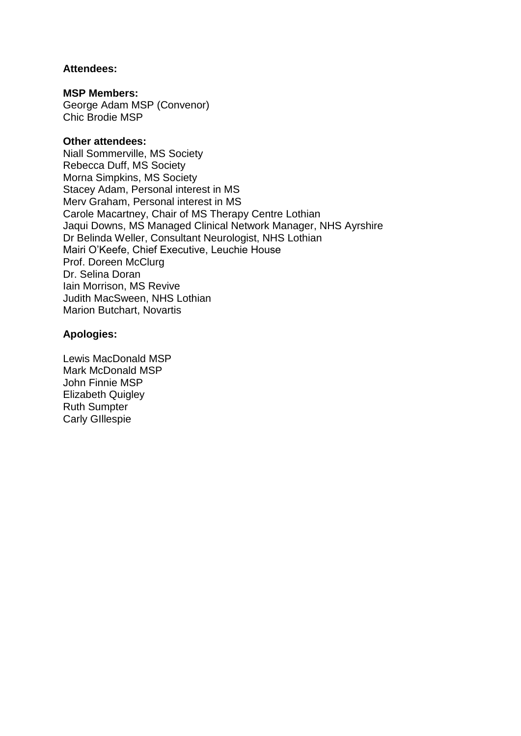#### **Attendees:**

#### **MSP Members:**

George Adam MSP (Convenor) Chic Brodie MSP

#### **Other attendees:**

Niall Sommerville, MS Society Rebecca Duff, MS Society Morna Simpkins, MS Society Stacey Adam, Personal interest in MS Merv Graham, Personal interest in MS Carole Macartney, Chair of MS Therapy Centre Lothian Jaqui Downs, MS Managed Clinical Network Manager, NHS Ayrshire Dr Belinda Weller, Consultant Neurologist, NHS Lothian Mairi O'Keefe, Chief Executive, Leuchie House Prof. Doreen McClurg Dr. Selina Doran Iain Morrison, MS Revive Judith MacSween, NHS Lothian Marion Butchart, Novartis

#### **Apologies:**

Lewis MacDonald MSP Mark McDonald MSP John Finnie MSP Elizabeth Quigley Ruth Sumpter Carly GIllespie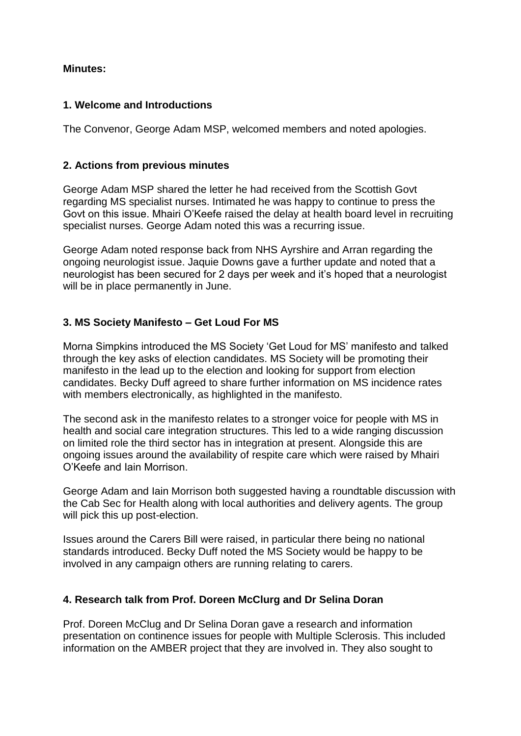## **Minutes:**

## **1. Welcome and Introductions**

The Convenor, George Adam MSP, welcomed members and noted apologies.

#### **2. Actions from previous minutes**

George Adam MSP shared the letter he had received from the Scottish Govt regarding MS specialist nurses. Intimated he was happy to continue to press the Govt on this issue. Mhairi O'Keefe raised the delay at health board level in recruiting specialist nurses. George Adam noted this was a recurring issue.

George Adam noted response back from NHS Ayrshire and Arran regarding the ongoing neurologist issue. Jaquie Downs gave a further update and noted that a neurologist has been secured for 2 days per week and it's hoped that a neurologist will be in place permanently in June.

## **3. MS Society Manifesto – Get Loud For MS**

Morna Simpkins introduced the MS Society 'Get Loud for MS' manifesto and talked through the key asks of election candidates. MS Society will be promoting their manifesto in the lead up to the election and looking for support from election candidates. Becky Duff agreed to share further information on MS incidence rates with members electronically, as highlighted in the manifesto.

The second ask in the manifesto relates to a stronger voice for people with MS in health and social care integration structures. This led to a wide ranging discussion on limited role the third sector has in integration at present. Alongside this are ongoing issues around the availability of respite care which were raised by Mhairi O'Keefe and Iain Morrison.

George Adam and Iain Morrison both suggested having a roundtable discussion with the Cab Sec for Health along with local authorities and delivery agents. The group will pick this up post-election.

Issues around the Carers Bill were raised, in particular there being no national standards introduced. Becky Duff noted the MS Society would be happy to be involved in any campaign others are running relating to carers.

#### **4. Research talk from Prof. Doreen McClurg and Dr Selina Doran**

Prof. Doreen McClug and Dr Selina Doran gave a research and information presentation on continence issues for people with Multiple Sclerosis. This included information on the AMBER project that they are involved in. They also sought to